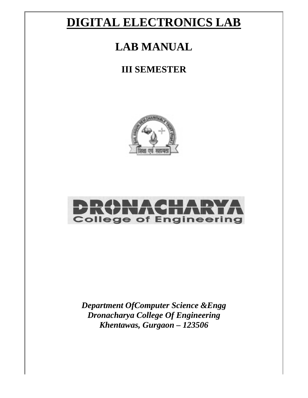# **DIGITAL ELECTRONICS LAB**

# **LAB MANUAL**

## **III SEM MESTE ER**





*Department OfComputer Science &Engg Dronacharya College Of Engineering Khenta awas, G Gurgaon – 12350 06*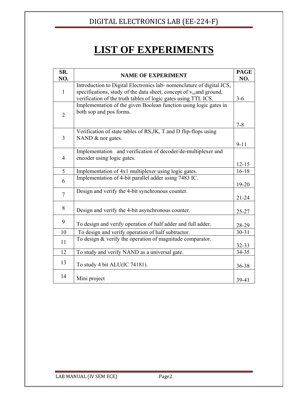# **LIST OF EXPERIMENTS**

| SR.<br>NO.     | <b>NAME OF EXPERIMENT</b>                                                                                                                                                                                                 | <b>PAGE</b><br>NO.  |
|----------------|---------------------------------------------------------------------------------------------------------------------------------------------------------------------------------------------------------------------------|---------------------|
| $\mathbf{1}$   | Introduction to Digital Electronics lab-nomenclature of digital ICS,<br>specifications, study of the data sheet, concept of v <sub>cc</sub> and ground,<br>verification of the truth tables of logic gates using TTL ICS. | $3 - 6$             |
| $\overline{2}$ | Implementation of the given Boolean function using logic gates in<br>both sop and pos forms.                                                                                                                              |                     |
| 3              | Verification of state tables of RS, JK, T and D flip-flops using<br>NAND & nor gates.                                                                                                                                     | $7 - 8$<br>$9 - 11$ |
| 4              | Implementation and verification of decoder/de-multiplexer and<br>encoder using logic gates.                                                                                                                               | $12 - 15$           |
| 5              | Implementation of 4x1 multiplexer using logic gates.                                                                                                                                                                      | $16 - 18$           |
| 6              | Implementation of 4-bit parallel adder using 7483 IC.                                                                                                                                                                     | 19-20               |
| $\overline{7}$ | Design and verify the 4-bit synchronous counter.                                                                                                                                                                          | $21 - 24$           |
| 8              | Design and verify the 4-bit asynchronous counter.                                                                                                                                                                         | $25 - 27$           |
| 9              | To design and verify operation of half adder and full adder.                                                                                                                                                              | 28-29               |
| 10             | To design and verify operation of half subtractor.                                                                                                                                                                        | $30 - 31$           |
| 11             | To design & verify the operation of magnitude comparator.                                                                                                                                                                 | 32-33               |
| 12             | To study and verify NAND as a universal gate.                                                                                                                                                                             | 34-35               |
| 13             | To study 4 bit ALU(IC 74181).                                                                                                                                                                                             | 36-38               |
| 14             | Mini project                                                                                                                                                                                                              | 39-41               |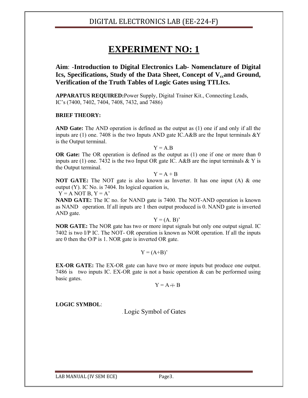## **EXPERIMENT NO: 1**

**Aim**: -**Introduction to Digital Electronics Lab- Nomenclature of Digital**  Ics, Specifications, Study of the Data Sheet, Concept of V<sub>cc</sub>and Ground, **Verification of the Truth Tables of Logic Gates using TTLIcs.**

**APPARATUS REQUIRED:**Power Supply, Digital Trainer Kit., Connecting Leads, IC's (7400, 7402, 7404, 7408, 7432, and 7486)

#### **BRIEF THEORY:**

**AND Gate:** The AND operation is defined as the output as (1) one if and only if all the inputs are (1) one. 7408 is the two Inputs AND gate IC.A&B are the Input terminals  $&Y$ is the Output terminal.

 $Y = A.B$ 

**OR Gate:** The OR operation is defined as the output as (1) one if one or more than 0 inputs are (1) one. 7432 is the two Input OR gate IC. A&B are the input terminals  $&Y$  is the Output terminal.

$$
Y = A + B
$$

**NOT GATE:** The NOT gate is also known as Inverter. It has one input (A) & one output (Y). IC No. is 7404. Its logical equation is,

 $Y = A NOT B, Y = A'$ 

**NAND GATE:** The IC no. for NAND gate is 7400. The NOT-AND operation is known as NAND operation. If all inputs are 1 then output produced is 0. NAND gate is inverted AND gate.

 $Y = (A, B)'$ 

**NOR GATE:** The NOR gate has two or more input signals but only one output signal. IC 7402 is two I/P IC. The NOT- OR operation is known as NOR operation. If all the inputs are 0 then the O/P is 1. NOR gate is inverted OR gate.

 $Y = (A+B)^{3}$ 

**EX-OR GATE:** The EX-OR gate can have two or more inputs but produce one output. 7486 is two inputs IC. EX-OR gate is not a basic operation & can be performed using basic gates.

 $Y = A \oplus B$ 

#### **LOGIC SYMBOL**:

. Logic Symbol of Gates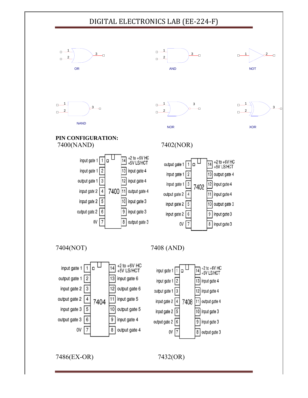











NOR



#### **PIN C CONFIGUR RATION:**  0(NAND)



### 7402( (NOR)



4(NOT)





6(EX-OR)

7432(OR)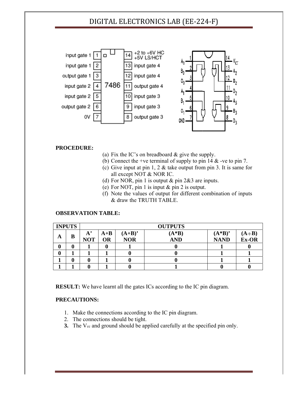

#### **PRO OCEDURE:**

- (a) Fix the IC's on breadboard  $&$  give the supply.
- (b) Connect the +ve terminal of supply to pin 14  $\&$  -ve to pin 7.
- (c) Give input at pin  $1, 2 \&$  take output from pin 3. It is same for all except NOT & NOR IC.
- (d) For NOR, pin 1 is output  $&$  pin 2 $&3$  are inputs.
- (e) For NOT, pin 1 is input  $&$  pin 2 is output.
- (f) Note the values of output for different combination of inputs & draw the TRUTH TABLE.

#### **OBSERVATION TABLE:**

|   | <b>INPUTS</b> |                                  | <b>OUTPUTS</b>     |                       |                       |                        |                         |  |  |  |  |  |
|---|---------------|----------------------------------|--------------------|-----------------------|-----------------------|------------------------|-------------------------|--|--|--|--|--|
| A | В             | ${\bf A}^{\prime}$<br><b>NOT</b> | $A+B$<br><b>OR</b> | $(A+B)$<br><b>NOR</b> | $(A*B)$<br><b>AND</b> | $(A*B)$<br><b>NAND</b> | $(A \oplus B)$<br>Ex-OR |  |  |  |  |  |
| 0 |               |                                  |                    |                       |                       |                        |                         |  |  |  |  |  |
|   |               |                                  |                    |                       |                       |                        |                         |  |  |  |  |  |
|   |               |                                  |                    |                       |                       |                        |                         |  |  |  |  |  |
|   |               |                                  |                    |                       |                       |                        |                         |  |  |  |  |  |

**RESULT:** We have learnt all the gates ICs according to the IC pin diagram.

#### **PRE CAUTIONS S:**

- 1. Make the connections according to the IC pin diagram.
- 2. The connections should be tight.
- **3.** The V<sub>cc</sub> and ground should be applied carefully at the specified pin only.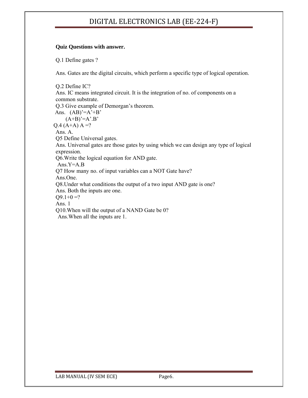#### **Quiz Questions with answer.**

Q.1 Define gates ?

Ans. Gates are the digital circuits, which perform a specific type of logical operation.

Q.2 Define IC? Ans. IC means integrated circuit. It is the integration of no. of components on a common substrate. Q.3 Give example of Demorgan's theorem. Ans.  $(AB)'=A'+B'$  $(A+B)'=A'B'$  $Q.4 (A+A) A =?$ Ans. A. Q5 Define Universal gates. Ans. Universal gates are those gates by using which we can design any type of logical expression. Q6.Write the logical equation for AND gate. Ans.Y=A.B Q7 How many no. of input variables can a NOT Gate have? Ans.One. Q8.Under what conditions the output of a two input AND gate is one? Ans. Both the inputs are one.  $Q9.1+0=?$ Ans. 1 Q10.When will the output of a NAND Gate be 0? Ans.When all the inputs are 1.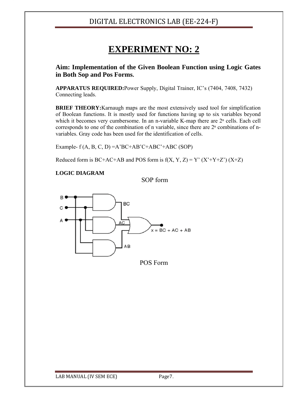## **EXPERIMENT NO: 2**

**Aim: Implementation of the Given Boolean Function using Logic Gates in Both Sop and Pos Forms.** 

**APPARATUS REQUIRED:**Power Supply, Digital Trainer, IC's (7404, 7408, 7432) Connecting leads.

**BRIEF THEORY:**Karnaugh maps are the most extensively used tool for simplification of Boolean functions. It is mostly used for functions having up to six variables beyond which it becomes very cumbersome. In an n-variable K-map there are  $2<sup>n</sup>$  cells. Each cell corresponds to one of the combination of n variable, since there are  $2<sup>n</sup>$  combinations of nvariables. Gray code has been used for the identification of cells.

Example-  $f(A, B, C, D) = A'BC+AB'C+ABC'+ABC$  (SOP)

Reduced form is BC+AC+AB and POS form is  $f(X, Y, Z) = Y' (X' + Y + Z') (X + Z)$ 

#### **LOGIC DIAGRAM**

SOP form



POS Form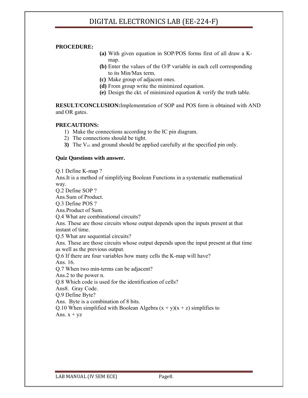#### **PROCEDURE:**

- **(a)** With given equation in SOP/POS forms first of all draw a Kmap.
- **(b)** Enter the values of the O/P variable in each cell corresponding to its Min/Max term.
- **(c)** Make group of adjacent ones.
- **(d)** From group write the minimized equation.
- **(e)** Design the ckt. of minimized equation & verify the truth table.

**RESULT/CONCLUSION:**Implementation of SOP and POS form is obtained with AND and OR gates.

#### **PRECAUTIONS:**

- 1) Make the connections according to the IC pin diagram.
- 2) The connections should be tight.
- **3)** The V<sub>cc</sub> and ground should be applied carefully at the specified pin only.

#### **Quiz Questions with answer.**

Q.1 Define K-map ? Ans.It is a method of simplifying Boolean Functions in a systematic mathematical way. Q.2 Define SOP ? Ans.Sum of Product. Q.3 Define POS ? Ans.Product of Sum. Q.4 What are combinational circuits? Ans. These are those circuits whose output depends upon the inputs present at that instant of time. Q.5 What are sequential circuits? Ans. These are those circuits whose output depends upon the input present at that time as well as the previous output. Q.6 If there are four variables how many cells the K-map will have? Ans. 16. Q.7 When two min-terms can be adjacent? Ans.2 to the power n. Q.8 Which code is used for the identification of cells? Ans8. Gray Code. Q.9 Define Byte? Ans. Byte is a combination of 8 bits.

Q.10 When simplified with Boolean Algebra  $(x + y)(x + z)$  simplifies to Ans.  $x + yz$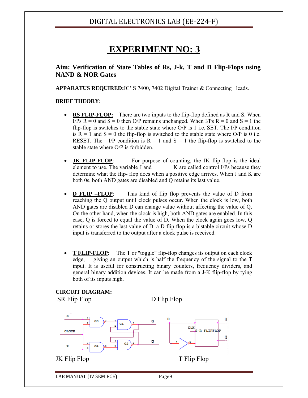## **EXPERIMENT NO: 3**

#### **Aim: Verification of State Tables of Rs, J-k, T and D Flip-Flops using NAND & NOR Gates**

**APPARATUS REQUIRED:**IC' S 7400, 7402 Digital Trainer & Connecting leads.

#### **BRIEF THEORY:**

- **RS FLIP-FLOP:** There are two inputs to the flip-flop defined as R and S. When I/Ps  $R = 0$  and  $S = 0$  then O/P remains unchanged. When I/Ps  $R = 0$  and  $S = 1$  the flip-flop is switches to the stable state where O/P is 1 i.e. SET. The I/P condition is  $R = 1$  and  $S = 0$  the flip-flop is switched to the stable state where O/P is 0 i.e. RESET. The I/P condition is  $R = 1$  and  $S = 1$  the flip-flop is switched to the stable state where O/P is forbidden.
- **JK FLIP-FLOP:** For purpose of counting, the JK flip-flop is the ideal element to use. The variable J and  $K$  are called control I/Ps because they determine what the flip- flop does when a positive edge arrives. When J and K are both 0s, both AND gates are disabled and Q retains its last value.
- **D FLIP –FLOP:** This kind of flip flop prevents the value of D from reaching the Q output until clock pulses occur. When the clock is low, both AND gates are disabled D can change value without affecting the value of Q. On the other hand, when the clock is high, both AND gates are enabled. In this case, Q is forced to equal the value of D. When the clock again goes low, Q retains or stores the last value of D. a D flip flop is a bistable circuit whose D input is transferred to the output after a clock pulse is received.
- **T FLIP-FLOP**: The T or "toggle" flip-flop changes its output on each clock edge, giving an output which is half the frequency of the signal to the T input. It is useful for constructing binary counters, frequency dividers, and general binary addition devices. It can be made from a J-K flip-flop by tying both of its inputs high.

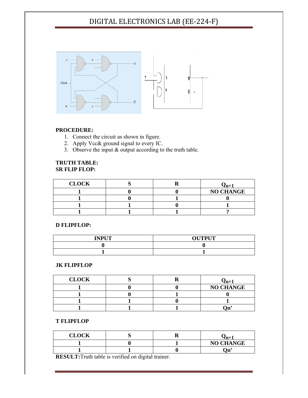

#### **PRO OCEDURE:**

- 1. Connect the circuit as shown in figure.
- 2. Apply Vcc& ground signal to every IC.
- 3. Observe the input  $\&$  output according to the truth table.

#### **TRU UTH TABLE E: SR F FLIP FLOP :**

| <b>CLOCK</b> |  | $\ell$ n+ $\ell$ |
|--------------|--|------------------|
|              |  | <b>NO CHANGE</b> |
|              |  |                  |
|              |  |                  |
|              |  |                  |

#### **D FL LIPFLOP:**

| <b>INPUT</b> | <b>OUTPUT</b> |
|--------------|---------------|
|              |               |
|              |               |

#### **JK F FLIPFLOP**

| <b>CLOCK</b> |  | $\mathbf{m}$     |
|--------------|--|------------------|
|              |  | <b>NO CHANGE</b> |
|              |  |                  |
|              |  |                  |
|              |  |                  |

#### **T FL LIPFLOP**

| <b>CLOCK</b> |  | ™⊥               |
|--------------|--|------------------|
|              |  | <b>NO CHANGE</b> |
|              |  | ъ.<br>,,,        |

**RESULT:**Truth table is verified on digital trainer.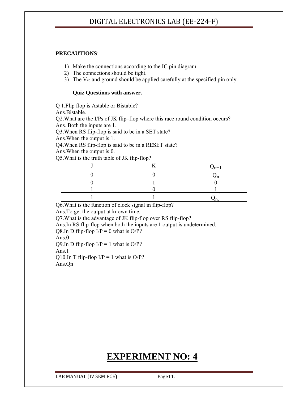#### **PRECAUTIONS**:

1) Make the connections according to the IC pin diagram.

- 2) The connections should be tight.
- 3) The V<sub>cc</sub> and ground should be applied carefully at the specified pin only.

#### **Quiz Questions with answer.**

Q 1.Flip flop is Astable or Bistable?

Ans.Bistable.

Q2.What are the I/Ps of JK flip–flop where this race round condition occurs? Ans. Both the inputs are 1.

Q3.When RS flip-flop is said to be in a SET state?

Ans.When the output is 1.

Q4.When RS flip-flop is said to be in a RESET state?

Ans.When the output is 0.

Q5.What is the truth table of JK flip-flop?

|  | $\mathbf{v}_{n+1}$ |
|--|--------------------|
|  |                    |
|  |                    |
|  |                    |
|  |                    |

Q6.What is the function of clock signal in flip-flop?

Ans.To get the output at known time.

Q7.What is the advantage of JK flip-flop over RS flip-flop?

Ans.In RS flip-flop when both the inputs are 1 output is undetermined.

Q8.In D flip-flop  $I/P = 0$  what is  $O/P$ ?

Ans.0

Q9.In D flip-flop  $I/P = 1$  what is  $O/P$ ?

Ans.1

Q10.In T flip-flop  $I/P = 1$  what is  $O/P$ ? Ans.Qn

## **EXPERIMENT NO: 4**

LAB MANUAL (IV SEM ECE) Page11.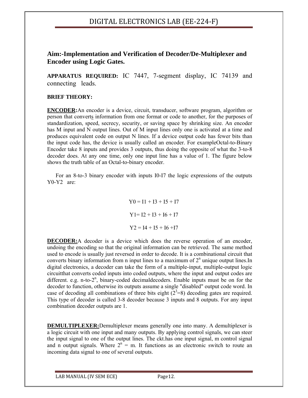#### **Aim:-Implementation and Verification of Decoder/De-Multiplexer and Encoder using Logic Gates.**

**APPARATUS REQUIRED:** IC 7447, 7-segment display, IC 74139 and connecting leads.

#### **BRIEF THEORY:**

**ENCODER:**An encoder is a device, circuit, transducer, software program, algorithm or person that converts information from one format or code to another, for the purposes of standardization, speed, secrecy, security, or saving space by shrinking size. An encoder has M input and N output lines. Out of M input lines only one is activated at a time and produces equivalent code on output N lines. If a device output code has fewer bits than the input code has, the device is usually called an encoder. For exampleOctal-to-Binary Encoder take 8 inputs and provides 3 outputs, thus doing the opposite of what the 3-to-8 decoder does. At any one time, only one input line has a value of 1. The figure below shows the truth table of an Octal-to-binary encoder.

 For an 8-to-3 binary encoder with inputs I0-I7 the logic expressions of the outputs Y0-Y2 are:

> $Y0 = I1 + I3 + I5 + I7$  $Y1 = I2 + I3 + I6 + I7$  $Y2 = I4 + I5 + I6 + I7$

**DECODER:**A decoder is a device which does the reverse operation of an encoder, undoing the encoding so that the original information can be retrieved. The same method used to encode is usually just reversed in order to decode. It is a combinational circuit that converts binary information from n input lines to a maximum of  $2<sup>n</sup>$  unique output lines. In digital electronics, a decoder can take the form of a multiple-input, multiple-output logic circuitthat converts coded inputs into coded outputs, where the input and output codes are different. e.g. n-to-2<sup>n</sup>, binary-coded decimaldecoders. Enable inputs must be on for the decoder to function, otherwise its outputs assume a single "disabled" output code word. In case of decoding all combinations of three bits eight  $(2^3=8)$  decoding gates are required. This type of decoder is called 3-8 decoder because 3 inputs and 8 outputs. For any input combination decoder outputs are 1.

**DEMULTIPLEXER:**Demultiplexer means generally one into many. A demultiplexer is a logic circuit with one input and many outputs. By applying control signals, we can steer the input signal to one of the output lines. The ckt.has one input signal, m control signal and n output signals. Where  $2^n = m$ . It functions as an electronic switch to route an incoming data signal to one of several outputs.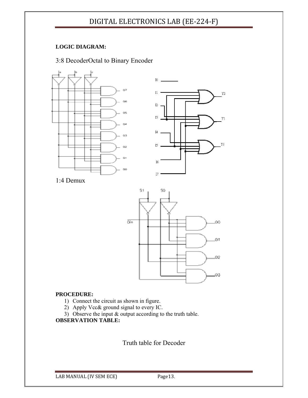#### **LOGIC DIAGRAM:**

#### 3:8 DecoderOctal to Binary Encoder





1:4 Demux



#### **PROCEDURE:**

- 1) Connect the circuit as shown in figure.
- 2) Apply Vcc& ground signal to every IC.
- 3) Observe the input & output according to the truth table.

#### **OBSERVATION TABLE:**

Truth table for Decoder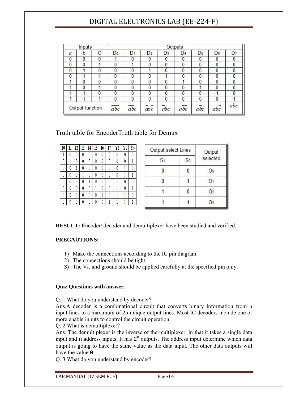|              | Inputs          |          | Outputs        |     |                |                |                |                  |     |     |
|--------------|-----------------|----------|----------------|-----|----------------|----------------|----------------|------------------|-----|-----|
| a            | b               | С        | D <sub>o</sub> | D1  | D <sub>2</sub> | D <sub>3</sub> | D <sub>4</sub> | D <sub>5</sub>   | Dε  | D7  |
| 0            | 0               | 0        |                | 0   | 0              | 0              | 0              | 0                | 0   | 0   |
| $\mathbf{0}$ | 0               |          | 0              |     | 0              | 0              | 0              | 0                | 0   | 0   |
| 0            |                 | 0        | 0              | 0   |                | 0              | 0              | 0                | 0   | 0   |
| 0            |                 |          | 0              | 0   | 0              |                | 0              | 0                | 0   | 0   |
|              | 0               | $\theta$ | 0              | 0   | 0              | 0              |                | 0                | 0   | 0   |
|              | 0               |          | 0              | 0   | 0              | 0              | 0              |                  | 0   | 0   |
|              |                 | $\theta$ | 0              | 0   | 0              | 0              | 0              | 0                |     | 0   |
|              |                 |          | 0              | 0   | 0              | 0              | 0              | 0                | 0   |     |
|              | Output function |          | abc            | abc | abc            | abc            | abc            | $a\overline{b}c$ | abc | abc |

Truth table for EncoderTruth table for Demux

| I <sub>0</sub> |   | $\overline{12}$ | I3 | I4 | I5 | I6 | Ī7 | Y <sub>2</sub> |   | Y0 |
|----------------|---|-----------------|----|----|----|----|----|----------------|---|----|
|                | U | U               | U  | U  | O  | O  | U  |                | U |    |
| U              |   | U               | U  | U  | 0  | 0  | Ü  |                | O |    |
| U              | 0 |                 | 0  | 0  | 0  | 0  | O  |                |   |    |
| 0              | 0 |                 |    | 0  | 0  | 0  | 0  |                |   |    |
| 0              |   |                 | O  |    | 0  | 0  | 0  |                | 0 |    |
| 0              |   |                 |    | 0  |    | 0  |    |                |   |    |
|                |   |                 |    |    | 0  |    |    |                |   |    |
|                |   |                 |    | Λ  | 0  | 0  |    |                |   |    |

| Output select Lines |    | Output   |  |
|---------------------|----|----------|--|
| S <sub>1</sub>      | So | selected |  |
|                     |    | O0       |  |
|                     |    |          |  |
|                     |    | O2       |  |
|                     |    |          |  |

**RESULT:** Encoder/ decoder and demultiplexer have been studied and verified.

#### **PRECAUTIONS:**

- 1) Make the connections according to the IC pin diagram.
- 2) The connections should be tight.
- **3)** The V<sub>cc</sub> and ground should be applied carefully at the specified pin only.

#### **Quiz Questions with answer.**

Q. 1 What do you understand by decoder?

Ans.A decoder is a combinational circuit that converts binary information from n input lines to a maximum of 2n unique output lines. Most IC decoders include one or more enable inputs to control the circuit operation.

Q. 2 What is demultiplexer?

Ans. The demultiplexer is the inverse of the multiplexer, in that it takes a single data input and n address inputs. It has  $2<sup>n</sup>$  outputs. The address input determine which data output is going to have the same value as the data input. The other data outputs will have the value 0.

Q. 3 What do you understand by encoder?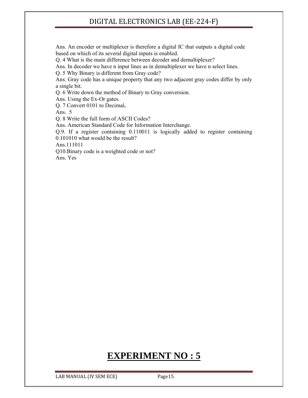Ans. An encoder or multiplexer is therefore a digital IC that outputs a digital code based on which of its several digital inputs is enabled.

Q. 4 What is the main difference between decoder and demultiplexer?

Ans. In decoder we have n input lines as in demultiplexer we have n select lines.

Q. 5 Why Binary is different from Gray code?

Ans. Gray code has a unique property that any two adjacent gray codes differ by only a single bit.

Q. 6 Write down the method of Binary to Gray conversion.

Ans. Using the Ex-Or gates.

Q. 7 Convert 0101 to Decimal**.** 

Ans. 5

Q. 8 Write the full form of ASCII Codes?

Ans. American Standard Code for Information Interchange.

Q.9. If a register containing 0.110011 is logically added to register containing

0.101010 what would be the result?

Ans.111011

Q10.Binary code is a weighted code or not?

Ans. Yes

## **EXPERIMENT NO : 5**

LAB MANUAL (IV SEM ECE) Page15.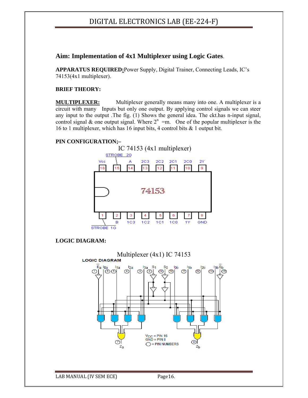#### **Aim: Implementation of 4x1 Multiplexer using Logic Gates**.

**APPARATUS REQUIRED:**Power Supply, Digital Trainer, Connecting Leads, IC's 74153(4x1 multiplexer).

#### **BRIEF THEORY:**

**MULTIPLEXER:** Multiplexer generally means many into one. A multiplexer is a circuit with many Inputs but only one output. By applying control signals we can steer any input to the output .The fig. (1) Shows the general idea. The ckt.has n-input signal, control signal & one output signal. Where  $2^{n}$  =m. One of the popular multiplexer is the 16 to 1 multiplexer, which has 16 input bits, 4 control bits & 1 output bit.

#### **PIN CONFIGURATION;–**



#### **LOGIC DIAGRAM:**

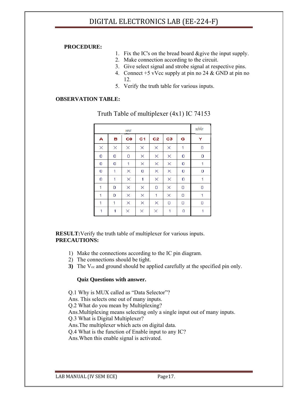#### **PROCEDURE:**

- 1. Fix the IC's on the bread board &give the input supply.
- 2. Make connection according to the circuit.
- 3. Give select signal and strobe signal at respective pins.
- 4. Connect +5 vVcc supply at pin no 24 & GND at pin no 12.
- 5. Verify the truth table for various inputs.

#### **OBSERVATION TABLE:**

|   |   | INPUT     |                |                |    |   | <b>OUTPUT</b> |
|---|---|-----------|----------------|----------------|----|---|---------------|
| Α | в | <b>CO</b> | C <sub>1</sub> | C <sub>2</sub> | C3 | G | Y             |
| × | × | ×         | ×              | ×              | ×  | 1 | 0             |
| 0 | 0 | 0         | ×              | ×              | ×  | 0 | 0             |
| 0 | 0 | 1         | ×              | ×              | ×  | 0 | 1             |
| 0 | 1 | ×         | 0              | ×              | ×  | 0 | 0             |
| 0 | 1 | ×         | 1              | ×              | ×  | 0 | 1             |
| 1 | 0 | ×         | ×              | 0              | ×  | 0 | 0             |
| 1 | 0 | ×         | ×              | 1              | ×  | 0 | 1             |
| 1 | 1 | ×         | X              | ×              | 0  | 0 | 0             |
| 1 | 1 | ×         | ×              | ×              | 1  | 0 | 1             |

Truth Table of multiplexer (4x1) IC 74153

#### **RESULT:**Verify the truth table of multiplexer for various inputs. **PRECAUTIONS:**

- 1) Make the connections according to the IC pin diagram.
- 2) The connections should be tight.
- **3)** The  $V_{cc}$  and ground should be applied carefully at the specified pin only.

#### **Quiz Questions with answer.**

Q.1 Why is MUX called as "Data Selector"?

Ans. This selects one out of many inputs.

Q.2 What do you mean by Multiplexing?

Ans.Multiplexing means selecting only a single input out of many inputs.

Q.3 What is Digital Multiplexer?

Ans.The multiplexer which acts on digital data.

Q.4 What is the function of Enable input to any IC?

Ans.When this enable signal is activated.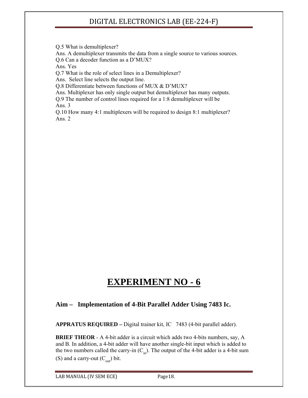Q.5 What is demultiplexer?

Ans. A demultiplexer transmits the data from a single source to various sources. Q.6 Can a decoder function as a D'MUX?

Ans. Yes

Q.7 What is the role of select lines in a Demultiplexer?

Ans. Select line selects the output line.

Q.8 Differentiate between functions of MUX & D'MUX?

Ans. Multiplexer has only single output but demultiplexer has many outputs.

Q.9 The number of control lines required for a 1:8 demultiplexer will be Ans. 3

Q.10 How many 4:1 multiplexers will be required to design 8:1 multiplexer? Ans. 2

## **EXPERIMENT NO - 6**

#### **Aim – Implementation of 4-Bit Parallel Adder Using 7483 Ic.**

**APPRATUS REQUIRED –** Digital trainer kit, IC 7483 (4-bit parallel adder).

**BRIEF THEOR** - A 4-bit adder is a circuit which adds two 4-bits numbers, say, A and B. In addition, a 4-bit adder will have another single-bit input which is added to the two numbers called the carry-in  $(C_{in})$ . The output of the 4-bit adder is a 4-bit sum (S) and a carry-out  $(C_{\text{out}})$  bit.

LAB MANUAL (IV SEM ECE) Page18.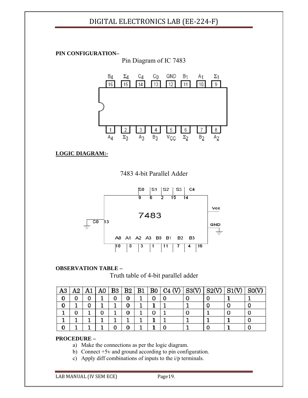**PIN CONFIGURATION–** 

Pin Diagram of IC 7483



**LOGIC DIAGRAM:-**

7483 4-bit Parallel Adder



#### **OBSERVATION TABLE –**

#### Truth table of 4-bit parallel adder

| A3 | A2 | A1 |  |  | A0   B3   B2   B1   B0   C4 (V)   S3(V)   S2(V)   S1(V) |  | SO(V) |
|----|----|----|--|--|---------------------------------------------------------|--|-------|
|    |    |    |  |  |                                                         |  |       |
|    |    |    |  |  |                                                         |  |       |
|    |    |    |  |  |                                                         |  |       |
|    |    |    |  |  |                                                         |  |       |
|    |    |    |  |  |                                                         |  |       |

#### **PROCEDURE –**

a) Make the connections as per the logic diagram.

- b) Connect +5v and ground according to pin configuration.
- c) Apply diff combinations of inputs to the i/p terminals.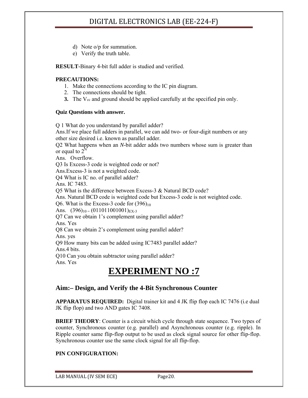- d) Note o/p for summation.
- e) Verify the truth table.

**RESULT-**Binary 4-bit full adder is studied and verified.

#### **PRECAUTIONS:**

- 1. Make the connections according to the IC pin diagram.
- 2. The connections should be tight.
- **3.** The V<sub>cc</sub> and ground should be applied carefully at the specified pin only.

#### **Quiz Questions with answer.**

Q 1 What do you understand by parallel adder? Ans.If we place full adders in parallel, we can add two- or four-digit numbers or any other size desired i.e. known as parallel adder. Q2 What happens when an *N*-bit adder adds two numbers whose sum is greater than or equal to  $2^{\circ}$ Ans. Overflow. Q3 Is Excess-3 code is weighted code or not? Ans.Excess-3 is not a weighted code. Q4 What is IC no. of parallel adder? Ans. IC 7483. Q5 What is the difference between Excess-3 & Natural BCD code? Ans. Natural BCD code is weighted code but Excess-3 code is not weighted code. Q6. What is the Excess-3 code for  $(396)_{10}$ Ans.  $(396)_{10} = (011011001001)_{\text{EX-3}}$ Q7 Can we obtain 1's complement using parallel adder? Ans. Yes Q8 Can we obtain 2's complement using parallel adder? Ans. yes Q9 How many bits can be added using IC7483 parallel adder? Ans.4 bits. Q10 Can you obtain subtractor using parallel adder? Ans. Yes

## **EXPERIMENT NO :7**

#### **Aim:– Design, and Verify the 4-Bit Synchronous Counter**

**APPARATUS REQUIRED:** Digital trainer kit and 4 JK flip flop each IC 7476 (i.e dual JK flip flop) and two AND gates IC 7408.

**BRIEF THEORY**: Counter is a circuit which cycle through state sequence. Two types of counter, Synchronous counter (e.g. parallel) and Asynchronous counter (e.g. ripple). In Ripple counter same flip-flop output to be used as clock signal source for other flip-flop. Synchronous counter use the same clock signal for all flip-flop.

#### **PIN CONFIGURATION:**

LAB MANUAL (IV SEM ECE) Page20.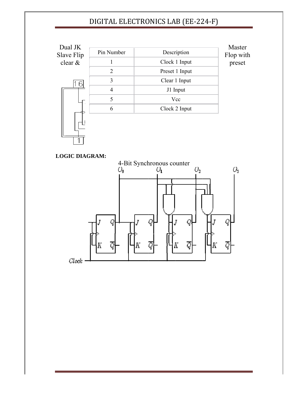

#### **LOG GIC DIAGR AM:**

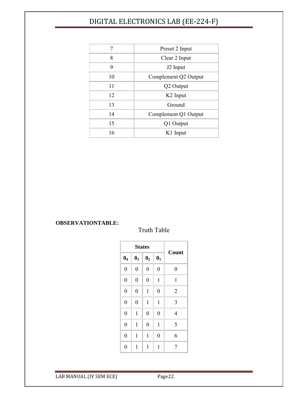|    | Preset 2 Input       |  |
|----|----------------------|--|
| 8  | Clear 2 Input        |  |
| 9  | J <sub>2</sub> Input |  |
| 10 | Complement Q2 Output |  |
| 11 | Q2 Output            |  |
| 12 | K <sub>2</sub> Input |  |
| 13 | Ground               |  |
| 14 | Complement Q1 Output |  |
| 15 | Q1 Output            |  |
| 16 | K1 Input             |  |

#### **OBSERVATIONTABLE:**

Truth Table

|                  | <b>States</b>  | Count            |                  |                  |
|------------------|----------------|------------------|------------------|------------------|
| $\mathbf{0}_4$   | $\mathbf{0}_3$ | $\mathbf{0}_2$   | $\mathbf{0}_1$   |                  |
| $\boldsymbol{0}$ | $\overline{0}$ | $\boldsymbol{0}$ | $\boldsymbol{0}$ | $\boldsymbol{0}$ |
| $\boldsymbol{0}$ | $\overline{0}$ | $\boldsymbol{0}$ | $\mathbf{1}$     | $\mathbf{1}$     |
| $\boldsymbol{0}$ | $\overline{0}$ | $\mathbf 1$      | $\overline{0}$   | $\overline{2}$   |
| $\overline{0}$   | $\overline{0}$ | 1                | $\mathbf 1$      | 3                |
| $\overline{0}$   | $\mathbf 1$    | $\boldsymbol{0}$ | $\overline{0}$   | 4                |
| $\overline{0}$   | $\mathbf{1}$   | $\overline{0}$   | $\mathbf{1}$     | 5                |
| $\overline{0}$   | $\mathbf 1$    | 1                | $\overline{0}$   | 6                |
| $\overline{0}$   | $\mathbf 1$    | 1                | $\mathbf{1}$     | 7                |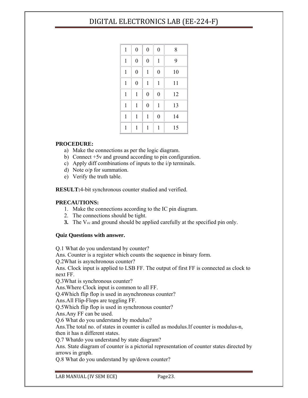| $\mathbf{1}$ | $\boldsymbol{0}$ | $\boldsymbol{0}$ | $\boldsymbol{0}$ | 8  |
|--------------|------------------|------------------|------------------|----|
| $\mathbf{1}$ | $\boldsymbol{0}$ | $\boldsymbol{0}$ | $\mathbf{1}$     | 9  |
| $\mathbf{1}$ | $\boldsymbol{0}$ | $\mathbf{1}$     | $\boldsymbol{0}$ | 10 |
| $\mathbf{1}$ | $\overline{0}$   | $\mathbf{1}$     | $\mathbf{1}$     | 11 |
| $\mathbf 1$  | $\mathbf{1}$     | $\boldsymbol{0}$ | $\boldsymbol{0}$ | 12 |
| $\mathbf{1}$ | $\mathbf{1}$     | $\boldsymbol{0}$ | $\mathbf{1}$     | 13 |
| $\mathbf{1}$ | $\mathbf{1}$     | $\mathbf{1}$     | $\boldsymbol{0}$ | 14 |
| $\mathbf{1}$ | 1                | 1                | 1                | 15 |

#### **PROCEDURE:**

- a) Make the connections as per the logic diagram.
- b) Connect +5v and ground according to pin configuration.
- c) Apply diff combinations of inputs to the i/p terminals.
- d) Note o/p for summation.
- e) Verify the truth table.

**RESULT:**4-bit synchronous counter studied and verified.

#### **PRECAUTIONS:**

- 1. Make the connections according to the IC pin diagram.
- 2. The connections should be tight.
- **3.** The V<sub>cc</sub> and ground should be applied carefully at the specified pin only.

#### **Quiz Questions with answer.**

Q.1 What do you understand by counter? Ans. Counter is a register which counts the sequence in binary form. Q.2What is asynchronous counter? Ans. Clock input is applied to LSB FF. The output of first FF is connected as clock to next FF. Q.3What is synchronous counter? Ans.Where Clock input is common to all FF. Q.4Which flip flop is used in asynchronous counter? Ans.All Flip-Flops are toggling FF. Q.5Which flip flop is used in synchronous counter? Ans.Any FF can be used. Q.6 What do you understand by modulus? Ans.The total no. of states in counter is called as modulus.If counter is modulus-n, then it has n different states. Q.7 Whatdo you understand by state diagram? Ans. State diagram of counter is a pictorial representation of counter states directed by arrows in graph.

Q.8 What do you understand by up/down counter?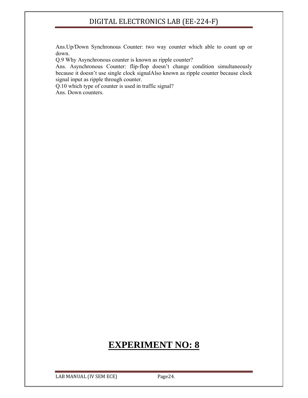Ans.Up/Down Synchronous Counter: two way counter which able to count up or down.

Q.9 Why Asynchronous counter is known as ripple counter?

Ans. Asynchronous Counter: flip-flop doesn't change condition simultaneously because it doesn't use single clock signalAlso known as ripple counter because clock signal input as ripple through counter.

Q.10 which type of counter is used in traffic signal? Ans. Down counters.

## **EXPERIMENT NO: 8**

LAB MANUAL (IV SEM ECE) Page24.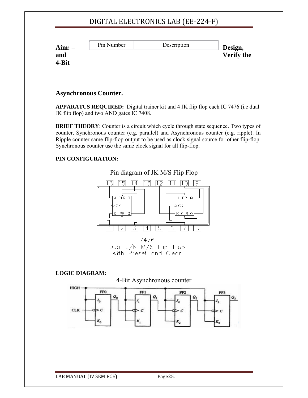| Aim:  | Pin Number | Description | Design,           |
|-------|------------|-------------|-------------------|
| and   |            |             | <b>Verify the</b> |
| 4-Bit |            |             |                   |

#### **Asynchronous Counter.**

**APPARATUS REQUIRED:** Digital trainer kit and 4 JK flip flop each IC 7476 (i.e dual JK flip flop) and two AND gates IC 7408.

**BRIEF THEORY**: Counter is a circuit which cycle through state sequence. Two types of counter, Synchronous counter (e.g. parallel) and Asynchronous counter (e.g. ripple). In Ripple counter same flip-flop output to be used as clock signal source for other flip-flop. Synchronous counter use the same clock signal for all flip-flop.

#### **PIN CONFIGURATION:**



**LOGIC DIAGRAM:** 

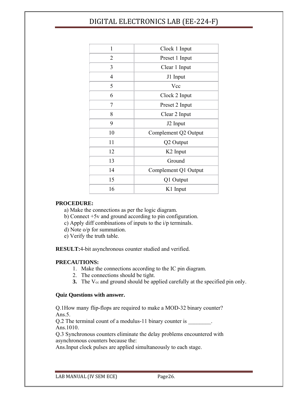| 1              | Clock 1 Input        |  |  |
|----------------|----------------------|--|--|
| 2              | Preset 1 Input       |  |  |
| 3              | Clear 1 Input        |  |  |
| $\overline{4}$ | J1 Input             |  |  |
| 5              | Vcc                  |  |  |
| 6              | Clock 2 Input        |  |  |
| 7              | Preset 2 Input       |  |  |
| 8              | Clear 2 Input        |  |  |
| 9              | J2 Input             |  |  |
| 10             | Complement Q2 Output |  |  |
| 11             | Q2 Output            |  |  |
| 12             | K <sub>2</sub> Input |  |  |
| 13             | Ground               |  |  |
| 14             | Complement Q1 Output |  |  |
| 15             | Q1 Output            |  |  |
| 16             | K1 Input             |  |  |

#### **PROCEDURE:**

a) Make the connections as per the logic diagram.

b) Connect +5v and ground according to pin configuration.

c) Apply diff combinations of inputs to the i/p terminals.

d) Note o/p for summation.

e) Verify the truth table.

**RESULT:**4-bit asynchronous counter studied and verified.

#### **PRECAUTIONS:**

- 1. Make the connections according to the IC pin diagram.
- 2. The connections should be tight.
- **3.** The V<sub>cc</sub> and ground should be applied carefully at the specified pin only.

#### **Quiz Questions with answer.**

Q.1How many flip-flops are required to make a MOD-32 binary counter? Ans.5.

Q.2 The terminal count of a modulus-11 binary counter is  $\qquad \qquad$ Ans.1010.

Q.3 Synchronous counters eliminate the delay problems encountered with asynchronous counters because the:

Ans.Input clock pulses are applied simultaneously to each stage.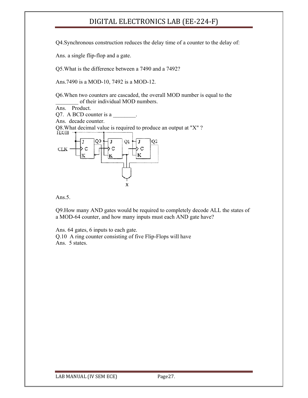Q4.Synchronous construction reduces the delay time of a counter to the delay of:

Ans. a single flip-flop and a gate.

Q5.What is the difference between a 7490 and a 7492?

Ans.7490 is a MOD-10, 7492 is a MOD-12.

Q6.When two counters are cascaded, the overall MOD number is equal to the of their individual MOD numbers.

Ans. Product.

Q7. A BCD counter is a

Ans. decade counter.

Q8. What decimal value is required to produce an output at "X" ?



Ans.5.

Q9.How many AND gates would be required to completely decode ALL the states of a MOD-64 counter, and how many inputs must each AND gate have?

Ans. 64 gates, 6 inputs to each gate.

Q.10 A ring counter consisting of five Flip-Flops will have Ans. 5 states.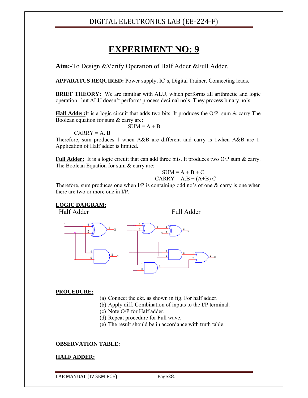## **EXPERIMENT NO: 9**

**Aim:-**To Design &Verify Operation of Half Adder &Full Adder.

**APPARATUS REQUIRED:** Power supply, IC's, Digital Trainer, Connecting leads.

**BRIEF THEORY:** We are familiar with ALU, which performs all arithmetic and logic operation but ALU doesn't perform/ process decimal no's. They process binary no's.

**Half Adder:**It is a logic circuit that adds two bits. It produces the O/P, sum & carry.The Boolean equation for sum & carry are:

 $SUM = A + B$ 

 $CARRY = A$ . B

Therefore, sum produces 1 when A&B are different and carry is 1when A&B are 1. Application of Half adder is limited.

**Full Adder:** It is a logic circuit that can add three bits. It produces two O/P sum & carry. The Boolean Equation for sum & carry are:

$$
SUM = A + B + C
$$

$$
CARRY = A.B + (A+B) C
$$

Therefore, sum produces one when  $I/P$  is containing odd no's of one  $\&$  carry is one when there are two or more one in I/P.

#### **LOGIC DAIGRAM:**

Half Adder Full Adder



#### **PROCEDURE:**

- (a) Connect the ckt. as shown in fig. For half adder.
- (b) Apply diff. Combination of inputs to the I/P terminal.
- (c) Note O/P for Half adder.
- (d) Repeat procedure for Full wave.
- (e) The result should be in accordance with truth table.

#### **OBSERVATION TABLE:**

#### **HALF ADDER:**

LAB MANUAL (IV SEM ECE) Page28.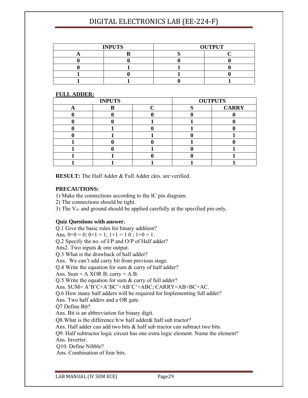| <b>INPUTS</b> |  | <b>OUTPUT</b> |  |
|---------------|--|---------------|--|
|               |  |               |  |
|               |  |               |  |
|               |  |               |  |
|               |  |               |  |
|               |  |               |  |

#### **FULL ADDER:**

| <b>INPUTS</b> |  |  | <b>OUTPUTS</b> |
|---------------|--|--|----------------|
|               |  |  | <b>CARRY</b>   |
|               |  |  |                |
|               |  |  |                |
|               |  |  |                |
|               |  |  |                |
|               |  |  |                |
|               |  |  |                |
|               |  |  |                |
|               |  |  |                |

**RESULT:** The Half Adder & Full Adder ckts. are verified.

#### **PRECAUTIONS:**

1) Make the connections according to the IC pin diagram.

2) The connections should be tight.

3) The V<sub>cc</sub> and ground should be applied carefully at the specified pin only.

#### **Quiz Questions with answer.**

Q.1 Give the basic rules for binary addition? Ans.  $0+0=0$ ;  $0+1=1$ ;  $1+1=1$  0;  $1+0=1$ . Q.2 Specify the no. of I/P and O/P of Half adder? Ans2. Two inputs & one output. Q.3 What is the drawback of half adder? Ans. We can't add carry bit from previous stage. Q.4 Write the equation for sum & carry of half adder? Ans. Sum =  $A$  XOR B; carry =  $A.B$ . Q.5 Write the equation for sum & carry of full adder? Ans. SUM= A'B'C+A'BC'+AB'C'+ABC; CARRY=AB+BC+AC. Q.6 How many half adders will be required for Implementing full adder? Ans. Two half adders and a OR gate. Q7 Define Bit? Ans. Bit is an abbreviation for binary digit. Q8.What is the difference b/w half adder& half sub tractor? Ans. Half adder can add two bits & half sub tractor can subtract two bits. Q9. Half subtractor logic circuit has one extra logic element. Name the element? Ans. Inverter. Q10. Define Nibble? Ans. Combination of four bits.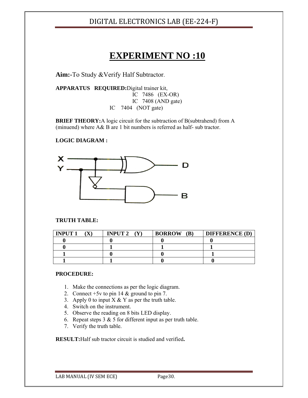## **EXPERIMENT NO :10**

**Aim:-**To Study &Verify Half Subtractor.

**APPARATUS REQUIRED:**Digital trainer kit, IC 7486 (EX-OR) IC 7408 (AND gate) IC 7404 (NOT gate)

**BRIEF THEORY:**A logic circuit for the subtraction of B(subtrahend) from A (minuend) where A& B are 1 bit numbers is referred as half- sub tractor.

#### **LOGIC DIAGRAM :**



#### **TRUTH TABLE:**

| <b>INPUT 1</b> | <b>INPUT 2</b><br>(Y) | <b>BORROW</b><br><b>(B)</b> | <b>DIFFERENCE (D)</b> |
|----------------|-----------------------|-----------------------------|-----------------------|
|                |                       |                             |                       |
|                |                       |                             |                       |
|                |                       |                             |                       |
|                |                       |                             |                       |

#### **PROCEDURE:**

- 1. Make the connections as per the logic diagram.
- 2. Connect +5v to pin 14 & ground to pin 7.
- 3. Apply 0 to input  $X \& Y$  as per the truth table.
- 4. Switch on the instrument.
- 5. Observe the reading on 8 bits LED display.
- 6. Repeat steps  $3 \& 5$  for different input as per truth table.
- 7. Verify the truth table.

**RESULT:**Half sub tractor circuit is studied and verified**.** 

LAB MANUAL (IV SEM ECE) Page30.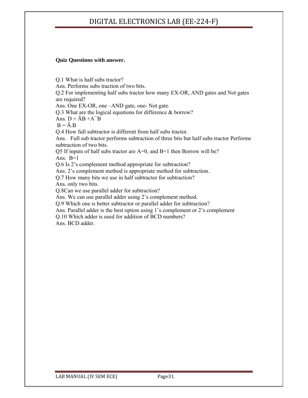#### **Quiz Questions with answer.**

Q.1 What is half subs tractor? Ans. Performs subs traction of two bits. Q.2 For implementing half subs tractor how many EX-OR, AND gates and Not gates are required? Ans. One EX-OR, one –AND gate, one- Not gate. Q.3 What are the logical equations for difference & borrow? Ans.  $D = \overline{A}B + A\overline{B}$  $B = \overline{A} \cdot B$ Q.4 How full subtractor is different from half subs tractor. Ans. Full sub tractor performs subtraction of three bits but half subs tractor Performs subtraction of two bits. Q5 If inputs of half subs tractor are A=0, and B=1 then Borrow will be? Ans.  $B=1$ Q.6 Is 2's complement method appropriate for subtraction? Ans. 2's complement method is appropriate method for subtraction. Q.7 How many bits we use in half subtractor for subtraction? Ans. only two bits. Q.8Can we use parallel adder for subtraction? Ans. We can use parallel adder using 2's complement method. Q.9 Which one is better subtractor or parallel adder for subtraction? Ans. Parallel adder is the best option using 1's complement or 2's complement Q.10 Which adder is used for addition of BCD numbers?

Ans. BCD adder.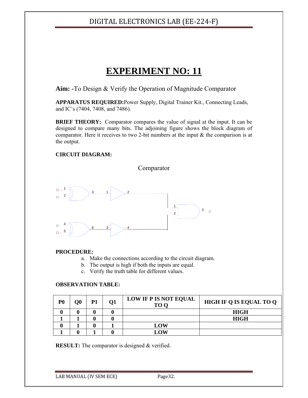## **EXPERIMENT NO: 11**

**Aim: -**To Design & Verify the Operation of Magnitude Comparator

**APPARATUS REQUIRED:**Power Supply, Digital Trainer Kit., Connecting Leads, and IC's (7404, 7408, and 7486).

**BRIEF THEORY:** Comparator compares the value of signal at the input. It can be designed to compare many bits. The adjoining figure shows the block diagram of comparator. Here it receives to two 2-bit numbers at the input  $\&$  the comparison is at the output.

#### **CIRCUIT DIAGRAM:**

Comparator



#### **PROCEDURE:**

- a. Make the connections according to the circuit diagram.
- b. The output is high if both the inputs are equal.
- c. Verify the truth table for different values.

#### **OBSERVATION TABLE:**

| P <sub>0</sub> | O0 | Р1 | 01 | <b>LOW IF P IS NOT EQUAL</b><br>TO O | <b>HIGH IF Q IS EQUAL TO Q</b> |
|----------------|----|----|----|--------------------------------------|--------------------------------|
|                |    |    |    |                                      | <b>HIGH</b>                    |
|                |    |    |    |                                      | <b>HIGH</b>                    |
|                |    |    |    | LOW                                  |                                |
|                |    |    |    | L OW                                 |                                |

**RESULT:** The comparator is designed & verified.

LAB MANUAL (IV SEM ECE) Page32.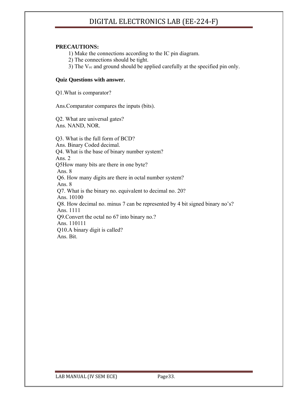#### **PRECAUTIONS:**

1) Make the connections according to the IC pin diagram.

- 2) The connections should be tight.
- 3) The  $V_{\text{cc}}$  and ground should be applied carefully at the specified pin only.

#### **Quiz Questions with answer.**

Q1.What is comparator?

Ans.Comparator compares the inputs (bits).

Q2. What are universal gates? Ans. NAND, NOR.

Q3. What is the full form of BCD? Ans. Binary Coded decimal. Q4. What is the base of binary number system? Ans. 2 Q5How many bits are there in one byte? Ans. 8 Q6. How many digits are there in octal number system? Ans. 8 Q7. What is the binary no. equivalent to decimal no. 20? Ans. 10100 Q8. How decimal no. minus 7 can be represented by 4 bit signed binary no's? Ans. 1111 Q9.Convert the octal no 67 into binary no.? Ans. 110111 Q10.A binary digit is called? Ans. Bit.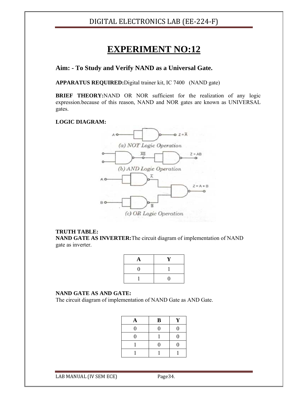## **EXPERIMENT NO:12**

#### **Aim: - To Study and Verify NAND as a Universal Gate.**

**APPARATUS REQUIRED:**Digital trainer kit, IC 7400 (NAND gate)

**BRIEF THEORY:**NAND OR NOR sufficient for the realization of any logic expression.because of this reason, NAND and NOR gates are known as UNIVERSAL gates.

#### **LOGIC DIAGRAM:**



#### **TRUTH TABLE:**

**NAND GATE AS INVERTER:**The circuit diagram of implementation of NAND gate as inverter.

| A  | V |
|----|---|
| וו |   |
|    | 1 |

#### **NAND GATE AS AND GATE:**

The circuit diagram of implementation of NAND Gate as AND Gate.

| A        | $\bf{B}$ | Y              |
|----------|----------|----------------|
| $\theta$ | $\Omega$ | $\overline{0}$ |
| 0        |          | $\overline{0}$ |
|          | 0        | 0              |
|          |          |                |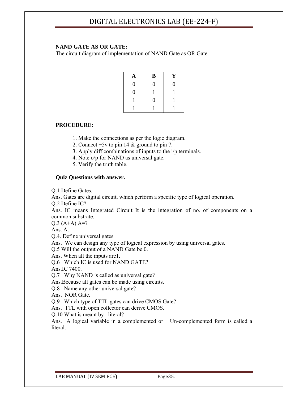#### **NAND GATE AS OR GATE:**

The circuit diagram of implementation of NAND Gate as OR Gate.

| A | $\, {\bf B}$ | Y |
|---|--------------|---|
| 0 | N            | 0 |
| 0 |              |   |
|   | ٠            |   |
|   |              |   |

#### **PROCEDURE:**

- 1. Make the connections as per the logic diagram.
- 2. Connect +5v to pin 14 & ground to pin 7.
- 3. Apply diff combinations of inputs to the i/p terminals.
- 4. Note o/p for NAND as universal gate.
- 5. Verify the truth table.

#### **Quiz Questions with answer.**

Q.1 Define Gates.

Ans. Gates are digital circuit, which perform a specific type of logical operation.

Q.2 Define IC?

Ans. IC means Integrated Circuit It is the integration of no. of components on a common substrate.

 $Q.3$  (A+A) A=?

Ans. A.

Q.4. Define universal gates

Ans. We can design any type of logical expression by using universal gates.

Q.5 Will the output of a NAND Gate be 0.

Ans. When all the inputs are1.

Q.6 Which IC is used for NAND GATE?

Ans.IC 7400.

Q.7 Why NAND is called as universal gate?

Ans.Because all gates can be made using circuits.

Q.8 Name any other universal gate?

Ans. NOR Gate.

Q.9 Which type of TTL gates can drive CMOS Gate?

Ans. TTL with open collector can derive CMOS.

Q.10 What is meant by literal?

Ans. A logical variable in a complemented or Un-complemented form is called a **literal**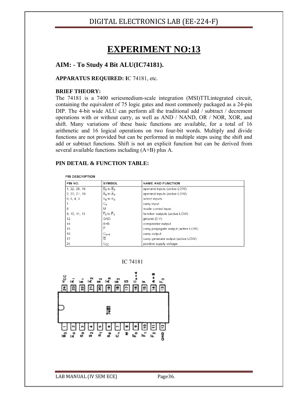## **EXPERIMENT NO:13**

#### **AIM: - To Study 4 Bit ALU(IC74181).**

#### **APPARATUS REQUIRED: I**C 74181, etc.

#### **BRIEF THEORY:**

The 74181 is a 7400 seriesmedium-scale integration (MSI)TTLintegrated circuit, containing the equivalent of 75 logic gates and most commonly packaged as a 24-pin DIP. The 4-bit wide ALU can perform all the traditional add / subtract / decrement operations with or without carry, as well as AND / NAND, OR / NOR, XOR, and shift. Many variations of these basic functions are available, for a total of 16 arithmetic and 16 logical operations on two four-bit words. Multiply and divide functions are not provided but can be performed in multiple steps using the shift and add or subtract functions. Shift is not an explicit function but can be derived from several available functions including (A+B) plus A.

#### **PIN DETAIL & FUNCTION TABLE:**

| <b>PIN DESCRIPTION</b> |                                      |                                     |  |  |  |  |
|------------------------|--------------------------------------|-------------------------------------|--|--|--|--|
| PIN NO.                | <b>SYMBOL</b>                        | <b>NAME AND FUNCTION</b>            |  |  |  |  |
| 1, 22, 20, 18          | $\overline{B}_0$ to $\overline{B}_3$ | operand inputs (active LOW)         |  |  |  |  |
| 2, 23, 21, 19          | $\overline{A}_0$ to $\overline{A}_3$ | operand inputs (active LOW)         |  |  |  |  |
| 6, 5, 4, 3             | $S_0$ to $S_3$                       | select inputs                       |  |  |  |  |
| 7                      | $C_n$                                | carry input                         |  |  |  |  |
| 8                      | M                                    | mode control input                  |  |  |  |  |
| 9, 10, 11, 13          | $\overline{F}_0$ to $\overline{F}_3$ | function outputs (active LOW)       |  |  |  |  |
| 12                     | <b>GND</b>                           | ground (0 V)                        |  |  |  |  |
| 14                     | $A = B$                              | comparator output                   |  |  |  |  |
| 15                     | Þ                                    | carry propagate output (active LOW) |  |  |  |  |
| 16                     | $C_{n+4}$                            | carry output                        |  |  |  |  |
| 17                     | G                                    | carry generate output (active LOW)  |  |  |  |  |
| 24                     | $V_{\rm CC}$                         | positive supply voltage             |  |  |  |  |

IC 74181

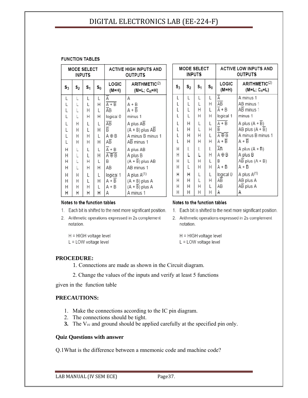#### **FUNCTION TABLES**

| <b>MODE SELECT</b><br><b>INPUTS</b> |                |                |                | <b>ACTIVE HIGH INPUTS AND</b><br>OUTPUTS |                                            |
|-------------------------------------|----------------|----------------|----------------|------------------------------------------|--------------------------------------------|
| $\mathbf{s}_3$                      | s <sub>2</sub> | s <sub>1</sub> | $\mathbf{S}_0$ | LOGIC<br>(M=H)                           | ARITHMETIC <sup>(2)</sup><br>$(M=L; Cn=H)$ |
|                                     |                | L              | L              | Ā                                        | Α                                          |
|                                     |                | L              | Η              | $\overline{A+B}$                         | $A + B$                                    |
|                                     | ヒヒヒ            | $\overline{H}$ | L              | ĀΒ                                       | $A + \overline{B}$                         |
|                                     |                | Н              | Η              | logical 0                                | minus 1                                    |
| LLL L L L L L                       | Н              | L              | L              | ĀВ                                       | A plus $\overline{AB}$                     |
|                                     | Н              | L              | Н              | $\overline{B}$                           | $(A + B)$ plus AB                          |
|                                     | Н              | $\overline{H}$ | L              | A⊕B                                      | A minus B minus 1                          |
|                                     | H              | Н              | Η              | ΑĒ                                       | AB minus 1                                 |
| Н                                   |                |                | L              | $\overline{A} + B$                       | A plus AB                                  |
| Η                                   | L<br>L         | L<br>L         | Η              | Ā⊕B                                      | A plus B                                   |
| Η                                   |                | $\overline{H}$ | L              | B                                        | $(A + \overline{B})$ plus AB               |
| Н                                   |                | Н              | Η              | AВ                                       | AB minus 1                                 |
| Н                                   | Н              | L              | L              | logical 1                                | A plus A <sup>(1)</sup>                    |
| Н                                   | Н              | L              | Η              | $A + B$                                  | $(A + B)$ plus A                           |
| Н                                   | Н              | $\overline{H}$ | L              | A + B                                    | $(A + \overline{B})$ plus A                |
| Н                                   | Н              | $\mathsf{H}$   | Н              | Α                                        | A minus 1                                  |

| <b>MODE SELECT</b><br><b>INPUTS</b> |                |    |                | <b>ACTIVE LOW INPUTS AND</b><br><b>OUTPUTS</b> |                                                       |
|-------------------------------------|----------------|----|----------------|------------------------------------------------|-------------------------------------------------------|
| $\mathsf{s}_3$                      | s <sub>2</sub> | s, | $\mathbf{s}_0$ | LOGIC<br>(M=H)                                 | ARITHMETIC <sup>(2)</sup><br>(M=L; C <sub>n</sub> =L) |
| L                                   | L              | L  | L              | Ā                                              | A minus 1                                             |
| L<br>L<br>L                         | L<br>L         | L  | Н              | АB                                             | AB minus 1                                            |
|                                     |                | H  | L              | $\overline{A}$ + B                             | AB minus 1                                            |
|                                     | Ĺ              | Н  | Н              | logical 1                                      | minus 1                                               |
|                                     | Η              | L  | L              | $A + B$                                        | A plus $(A + \overline{B})$                           |
|                                     | Η              | L  | Н              | $\overline{B}$                                 | AB plus $(A + B)$                                     |
| しししし                                | Η              | Н  | L              | Ā⊕B                                            | A minus B minus 1                                     |
|                                     | Η              | Н  | Н              | $A + \overline{B}$                             | $A + \overline{B}$                                    |
| Н                                   | L              | L  | L              | ĀB                                             | A plus (A + B)                                        |
| Н                                   | L              | L  | Н              | A⊕B                                            | A plus B                                              |
| H                                   | L<br>L         | Н  | L              | B                                              | AB plus $(A + B)$                                     |
| Н                                   |                | Н  | Н              | A + B                                          | A + B                                                 |
| Н                                   | Н              | L  | L              | logical 0                                      | A plus A <sup>(1)</sup>                               |
| Н                                   | Η              | L  | Н              | ΑĒ                                             | AB plus A                                             |
| Н                                   | Η              | Н  | L              | AВ                                             | $\overline{AB}$ plus A                                |
| Н                                   | Η              | Н  | Н              | А                                              | Α                                                     |

1. Each bit is shifted to the next more significant position.

2. Arithmetic operations expressed in 2s complement

#### Notes to the function tables

#### Notes to the function tables

- 1. Each bit is shifted to the next more significant position.
- 2. Arithmetic operations expressed in 2s complement notation.
	- H = HIGH voltage level L = LOW voltage level

H = HIGH voltage level L = LOW voltage level

notation.

#### **PROCEDURE:**

- 1. Connections are made as shown in the Circuit diagram.
- 2. Change the values of the inputs and verify at least 5 functions

given in the function table

#### **PRECAUTIONS:**

- 1. Make the connections according to the IC pin diagram.
- 2. The connections should be tight.
- **3.** The V<sub>cc</sub> and ground should be applied carefully at the specified pin only.

#### **Quiz Questions with answer**

Q.1What is the difference between a mnemonic code and machine code?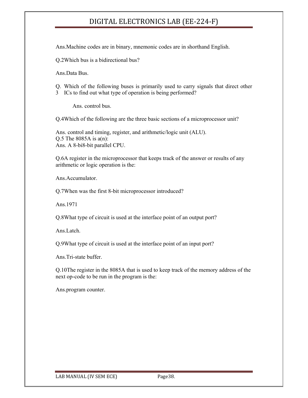Ans.Machine codes are in binary, mnemonic codes are in shorthand English.

Q.2Which bus is a bidirectional bus?

Ans.Data Bus.

- Q. Which of the following buses is primarily used to carry signals that direct other
- 3 ICs to find out what type of operation is being performed?

Ans. control bus.

Q.4Which of the following are the three basic sections of a microprocessor unit?

Ans. control and timing, register, and arithmetic/logic unit (ALU). Q.5 The 8085A is  $a(n)$ : Ans. A 8-bi8-bit parallel CPU.

Q.6A register in the microprocessor that keeps track of the answer or results of any arithmetic or logic operation is the:

Ans.Accumulator.

Q.7When was the first 8-bit microprocessor introduced?

Ans.1971

Q.8What type of circuit is used at the interface point of an output port?

Ans.Latch.

Q.9What type of circuit is used at the interface point of an input port?

Ans.Tri-state buffer.

Q.10The register in the 8085A that is used to keep track of the memory address of the next op-code to be run in the program is the:

Ans.program counter.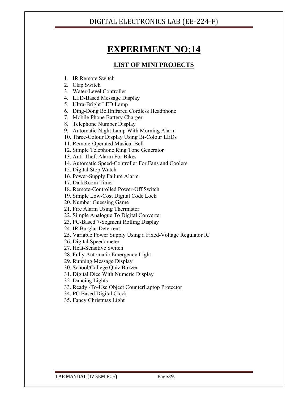## **EXPERIMENT NO:14**

### **LIST OF MINI PROJECTS**

- 1. IR Remote Switch
- 2. Clap Switch
- 3. Water-Level Controller
- 4. LED-Based Message Display
- 5. Ultra-Bright LED Lamp
- 6. Ding-Dong BellInfrared Cordless Headphone
- 7. Mobile Phone Battery Charger
- 8. Telephone Number Display
- 9. Automatic Night Lamp With Morning Alarm
- 10. Three-Colour Display Using Bi-Colour LEDs
- 11. Remote-Operated Musical Bell
- 12. Simple Telephone Ring Tone Generator
- 13. Anti-Theft Alarm For Bikes
- 14. Automatic Speed-Controller For Fans and Coolers
- 15. Digital Stop Watch
- 16. Power-Supply Failure Alarm
- 17. DarkRoom Timer
- 18. Remote-Controlled Power-Off Switch
- 19. Simple Low-Cost Digital Code Lock
- 20. Number Guessing Game
- 21. Fire Alarm Using Thermistor
- 22. Simple Analogue To Digital Converter
- 23. PC-Based 7-Segment Rolling Display
- 24. IR Burglar Deterrent
- 25. Variable Power Supply Using a Fixed-Voltage Regulator IC
- 26. Digital Speedometer
- 27. Heat-Sensitive Switch
- 28. Fully Automatic Emergency Light
- 29. Running Message Display
- 30. School/College Quiz Buzzer
- 31. Digital Dice With Numeric Display
- 32. Dancing Lights
- 33. Ready -To-Use Object CounterLaptop Protector
- 34. PC Based Digital Clock
- 35. Fancy Christmas Light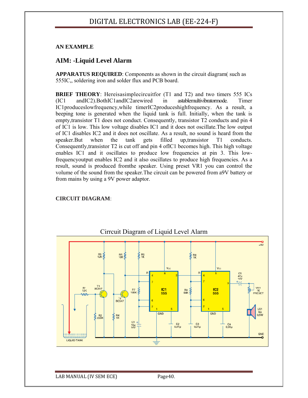#### **AN EXAMPLE**

#### **AIM: -Liquid Level Alarm**

**APPARATUS REQUIRED**: Components as shown in the circuit diagram( such as 555IC,, soldering iron and solder flux and PCB board.

**BRIEF THEORY**: Hereisasimplecircuitfor (T1 and T2) and two timers 555 ICs (IC1 andIC2).BothIC1andIC2arewired in astablemultivibratormode. Timer IC1produceslowfrequency,while timerIC2produceshighfrequency. As a result, a beeping tone is generated when the liquid tank is full. Initially, when the tank is empty,transistor T1 does not conduct. Consequently, transistor T2 conducts and pin 4 of IC1 is low. This low voltage disables IC1 and it does not oscillate.The low output of IC1 disables IC2 and it does not oscillate. As a result, no sound is heard from the speaker.But when the tank gets filled up,transistor T1 conducts. Consequently,transistor T2 is cut off and pin 4 ofIC1 becomes high. This high voltage enables IC1 and it oscillates to produce low frequencies at pin 3. This lowfrequencyoutput enables IC2 and it also oscillates to produce high frequencies. As a result, sound is produced fromthe speaker. Using preset VR1 you can control the volume of the sound from the speaker.The circuit can be powered from a9V battery or from mains by using a 9V power adaptor.

#### **CIRCUIT DIAGRAM**:



Cirrcuit Diagram of Liquid Level Alarm